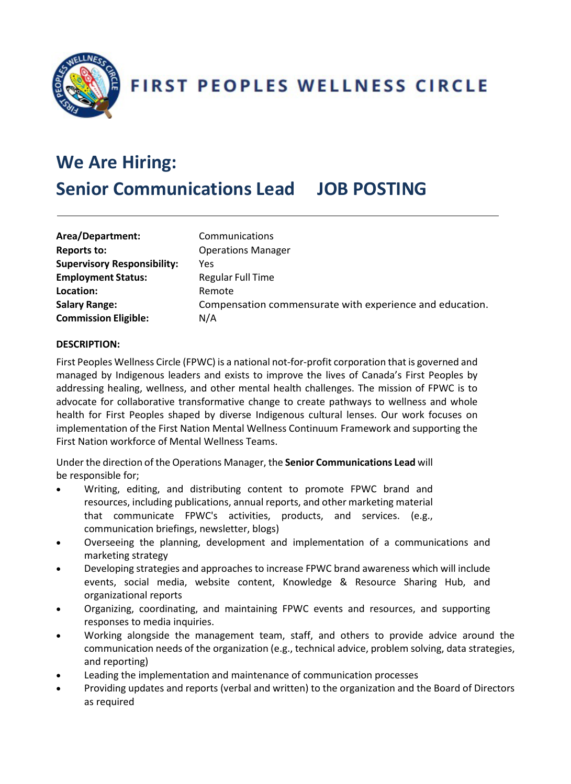

**FIRST PEOPLES WELLNESS CIRCLE** 

# **We Are Hiring: Senior Communications Lead JOB POSTING**

| Area/Department:                   | Communications                                           |
|------------------------------------|----------------------------------------------------------|
| <b>Reports to:</b>                 | <b>Operations Manager</b>                                |
| <b>Supervisory Responsibility:</b> | Yes                                                      |
| <b>Employment Status:</b>          | <b>Regular Full Time</b>                                 |
| Location:                          | Remote                                                   |
| <b>Salary Range:</b>               | Compensation commensurate with experience and education. |
| <b>Commission Eligible:</b>        | N/A                                                      |
|                                    |                                                          |

## **DESCRIPTION:**

First Peoples Wellness Circle (FPWC) is a national not-for-profit corporation that is governed and managed by Indigenous leaders and exists to improve the lives of Canada's First Peoples by addressing healing, wellness, and other mental health challenges. The mission of FPWC is to advocate for collaborative transformative change to create pathways to wellness and whole health for First Peoples shaped by diverse Indigenous cultural lenses. Our work focuses on implementation of the First Nation Mental Wellness Continuum Framework and supporting the First Nation workforce of Mental Wellness Teams.

Under the direction of the Operations Manager, the **Senior Communications Lead** will be responsible for;

- Writing, editing, and distributing content to promote FPWC brand and resources, including publications, annual reports, and other marketing material that communicate FPWC's activities, products, and services. (e.g., communication briefings, newsletter, blogs)
- Overseeing the planning, development and implementation of a communications and marketing strategy
- Developing strategies and approaches to increase FPWC brand awareness which will include events, social media, website content, Knowledge & Resource Sharing Hub, and organizational reports
- Organizing, coordinating, and maintaining FPWC events and resources, and supporting responses to media inquiries.
- Working alongside the management team, staff, and others to provide advice around the communication needs of the organization (e.g., technical advice, problem solving, data strategies, and reporting)
- Leading the implementation and maintenance of communication processes
- Providing updates and reports (verbal and written) to the organization and the Board of Directors as required